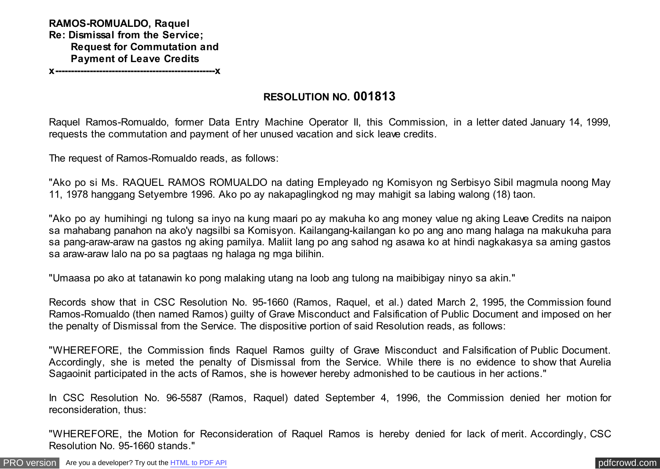**RAMOS-ROMUALDO, Raquel Re: Dismissal from the Service; Request for Commutation and Payment of Leave Credits** 

**x---------------------------------------------------x**

# **RESOLUTION NO. 001813**

Raquel Ramos-Romualdo, former Data Entry Machine Operator II, this Commission, in a letter dated January 14, 1999, requests the commutation and payment of her unused vacation and sick leave credits.

The request of Ramos-Romualdo reads, as follows:

"Ako po si Ms. RAQUEL RAMOS ROMUALDO na dating Empleyado ng Komisyon ng Serbisyo Sibil magmula noong May 11, 1978 hanggang Setyembre 1996. Ako po ay nakapaglingkod ng may mahigit sa labing walong (18) taon.

"Ako po ay humihingi ng tulong sa inyo na kung maari po ay makuha ko ang money value ng aking Leave Credits na naipon sa mahabang panahon na ako'y nagsilbi sa Komisyon. Kailangang-kailangan ko po ang ano mang halaga na makukuha para sa pang-araw-araw na gastos ng aking pamilya. Maliit lang po ang sahod ng asawa ko at hindi nagkakasya sa aming gastos sa araw-araw lalo na po sa pagtaas ng halaga ng mga bilihin.

"Umaasa po ako at tatanawin ko pong malaking utang na loob ang tulong na maibibigay ninyo sa akin."

Records show that in CSC Resolution No. 95-1660 (Ramos, Raquel, et al.) dated March 2, 1995, the Commission found Ramos-Romualdo (then named Ramos) guilty of Grave Misconduct and Falsification of Public Document and imposed on her the penalty of Dismissal from the Service. The dispositive portion of said Resolution reads, as follows:

"WHEREFORE, the Commission finds Raquel Ramos guilty of Grave Misconduct and Falsification of Public Document. Accordingly, she is meted the penalty of Dismissal from the Service. While there is no evidence to show that Aurelia Sagaoinit participated in the acts of Ramos, she is however hereby admonished to be cautious in her actions."

In CSC Resolution No. 96-5587 (Ramos, Raquel) dated September 4, 1996, the Commission denied her motion for reconsideration, thus:

"WHEREFORE, the Motion for Reconsideration of Raquel Ramos is hereby denied for lack of merit. Accordingly, CSC Resolution No. 95-1660 stands."

[PRO version](http://pdfcrowd.com/customize/) Are you a developer? Try out th[e HTML to PDF API](http://pdfcrowd.com/html-to-pdf-api/?ref=pdf) process and the example of the HTML to PDF API [pdfcrowd.com](http://pdfcrowd.com)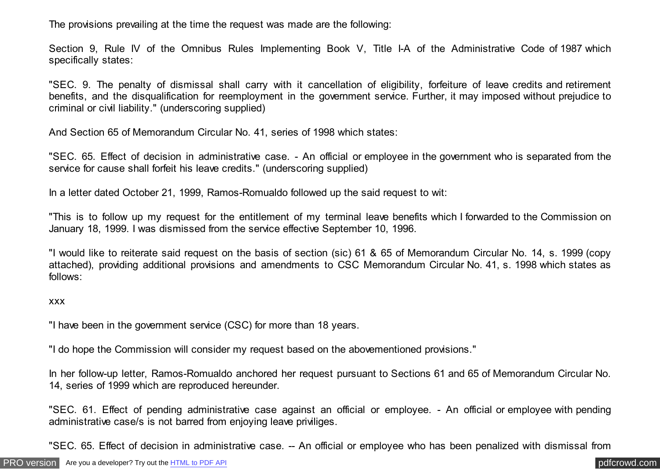The provisions prevailing at the time the request was made are the following:

Section 9, Rule IV of the Omnibus Rules Implementing Book V, Title I-A of the Administrative Code of 1987 which specifically states:

"SEC. 9. The penalty of dismissal shall carry with it cancellation of eligibility, forfeiture of leave credits and retirement benefits, and the disqualification for reemployment in the government service. Further, it may imposed without prejudice to criminal or civil liability." (underscoring supplied)

And Section 65 of Memorandum Circular No. 41, series of 1998 which states:

"SEC. 65. Effect of decision in administrative case. - An official or employee in the government who is separated from the service for cause shall forfeit his leave credits." (underscoring supplied)

In a letter dated October 21, 1999, Ramos-Romualdo followed up the said request to wit:

"This is to follow up my request for the entitlement of my terminal leave benefits which I forwarded to the Commission on January 18, 1999. I was dismissed from the service effective September 10, 1996.

"I would like to reiterate said request on the basis of section (sic) 61 & 65 of Memorandum Circular No. 14, s. 1999 (copy attached), providing additional provisions and amendments to CSC Memorandum Circular No. 41, s. 1998 which states as follows:

#### xxx

"I have been in the government service (CSC) for more than 18 years.

"I do hope the Commission will consider my request based on the abovementioned provisions."

In her follow-up letter, Ramos-Romualdo anchored her request pursuant to Sections 61 and 65 of Memorandum Circular No. 14, series of 1999 which are reproduced hereunder.

"SEC. 61. Effect of pending administrative case against an official or employee. - An official or employee with pending administrative case/s is not barred from enjoying leave priviliges.

"SEC. 65. Effect of decision in administrative case. -- An official or employee who has been penalized with dismissal from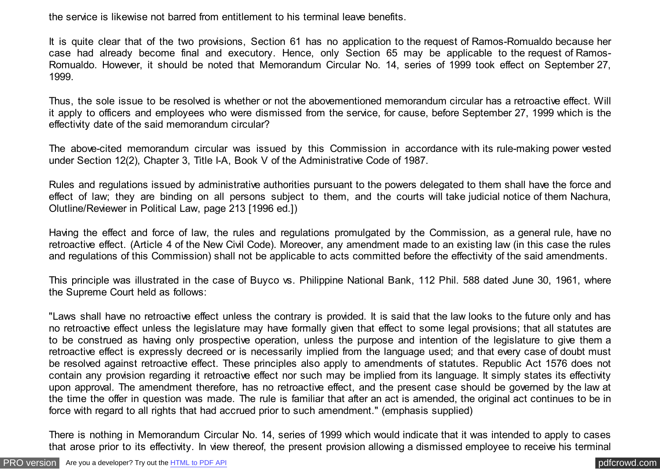the service is likewise not barred from entitlement to his terminal leave benefits.

It is quite clear that of the two provisions, Section 61 has no application to the request of Ramos-Romualdo because her case had already become final and executory. Hence, only Section 65 may be applicable to the request of Ramos-Romualdo. However, it should be noted that Memorandum Circular No. 14, series of 1999 took effect on September 27, 1999.

Thus, the sole issue to be resolved is whether or not the abovementioned memorandum circular has a retroactive effect. Will it apply to officers and employees who were dismissed from the service, for cause, before September 27, 1999 which is the effectivity date of the said memorandum circular?

The above-cited memorandum circular was issued by this Commission in accordance with its rule-making power vested under Section 12(2), Chapter 3, Title I-A, Book V of the Administrative Code of 1987.

Rules and regulations issued by administrative authorities pursuant to the powers delegated to them shall have the force and effect of law; they are binding on all persons subject to them, and the courts will take judicial notice of them Nachura, Olutline/Reviewer in Political Law, page 213 [1996 ed.])

Having the effect and force of law, the rules and regulations promulgated by the Commission, as a general rule, have no retroactive effect. (Article 4 of the New Civil Code). Moreover, any amendment made to an existing law (in this case the rules and regulations of this Commission) shall not be applicable to acts committed before the effectivity of the said amendments.

This principle was illustrated in the case of Buyco vs. Philippine National Bank, 112 Phil. 588 dated June 30, 1961, where the Supreme Court held as follows:

"Laws shall have no retroactive effect unless the contrary is provided. It is said that the law looks to the future only and has no retroactive effect unless the legislature may have formally given that effect to some legal provisions; that all statutes are to be construed as having only prospective operation, unless the purpose and intention of the legislature to give them a retroactive effect is expressly decreed or is necessarily implied from the language used; and that every case of doubt must be resolved against retroactive effect. These principles also apply to amendments of statutes. Republic Act 1576 does not contain any provision regarding it retroactive effect nor such may be implied from its language. It simply states its effectivity upon approval. The amendment therefore, has no retroactive effect, and the present case should be governed by the law at the time the offer in question was made. The rule is familiar that after an act is amended, the original act continues to be in force with regard to all rights that had accrued prior to such amendment." (emphasis supplied)

There is nothing in Memorandum Circular No. 14, series of 1999 which would indicate that it was intended to apply to cases that arose prior to its effectivity. In view thereof, the present provision allowing a dismissed employee to receive his terminal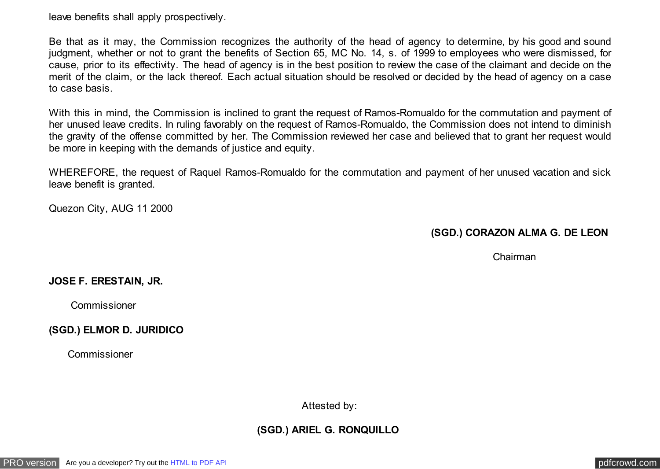leave benefits shall apply prospectively.

Be that as it may, the Commission recognizes the authority of the head of agency to determine, by his good and sound judgment, whether or not to grant the benefits of Section 65, MC No. 14, s. of 1999 to employees who were dismissed, for cause, prior to its effectivity. The head of agency is in the best position to review the case of the claimant and decide on the merit of the claim, or the lack thereof. Each actual situation should be resolved or decided by the head of agency on a case to case basis.

With this in mind, the Commission is inclined to grant the request of Ramos-Romualdo for the commutation and payment of her unused leave credits. In ruling favorably on the request of Ramos-Romualdo, the Commission does not intend to diminish the gravity of the offense committed by her. The Commission reviewed her case and believed that to grant her request would be more in keeping with the demands of justice and equity.

WHEREFORE, the request of Raquel Ramos-Romualdo for the commutation and payment of her unused vacation and sick leave benefit is granted.

Quezon City, AUG 11 2000

**(SGD.) CORAZON ALMA G. DE LEON** 

Chairman

## **JOSE F. ERESTAIN, JR.**

Commissioner

**(SGD.) ELMOR D. JURIDICO** 

Commissioner

Attested by:

**(SGD.) ARIEL G. RONQUILLO**